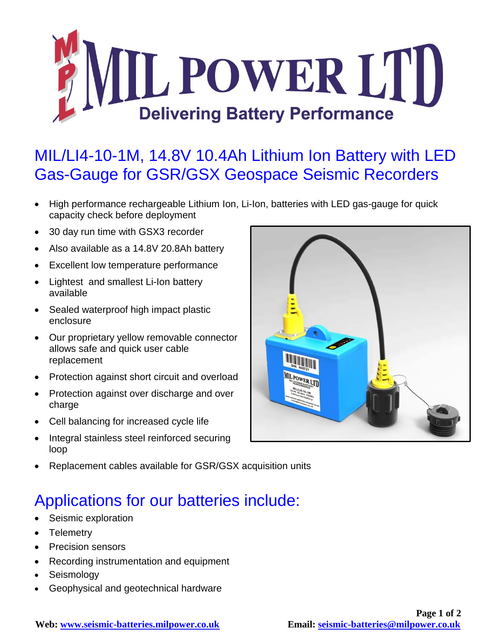

## MIL/LI4-10-1M, 14.8V 10.4Ah Lithium Ion Battery with LED Gas-Gauge for GSR/GSX Geospace Seismic Recorders

- High performance rechargeable Lithium Ion, Li-Ion, batteries with LED gas-gauge for quick capacity check before deployment
- 30 day run time with GSX3 recorder
- Also available as a 14.8V 20.8Ah battery
- Excellent low temperature performance
- Lightest and smallest Li-Ion battery available
- Sealed waterproof high impact plastic enclosure
- Our proprietary yellow removable connector allows safe and quick user cable replacement
- Protection against short circuit and overload
- Protection against over discharge and over charge
- Cell balancing for increased cycle life
- Integral stainless steel reinforced securing loop



Replacement cables available for GSR/GSX acquisition units

## Applications for our batteries include:

- Seismic exploration
- Telemetry
- Precision sensors
- Recording instrumentation and equipment
- Seismology
- Geophysical and geotechnical hardware